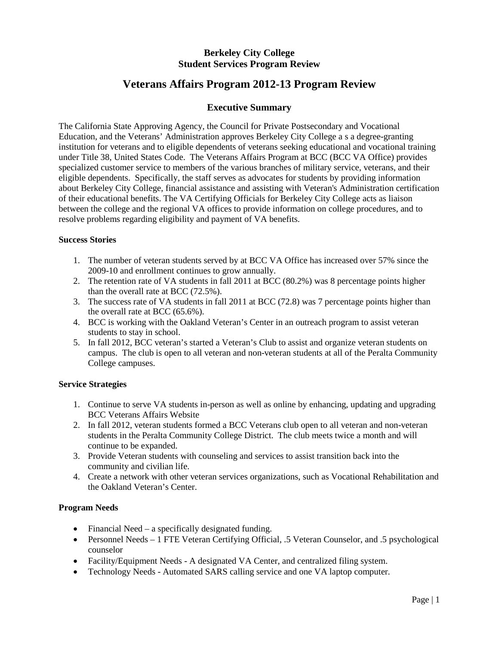# **Berkeley City College Student Services Program Review**

# **Veterans Affairs Program 2012-13 Program Review**

# **Executive Summary**

The California State Approving Agency, the Council for Private Postsecondary and Vocational Education, and the Veterans' Administration approves Berkeley City College a s a degree-granting institution for veterans and to eligible dependents of veterans seeking educational and vocational training under Title 38, United States Code. The Veterans Affairs Program at BCC (BCC VA Office) provides specialized customer service to members of the various branches of military service, veterans, and their eligible dependents. Specifically, the staff serves as advocates for students by providing information about Berkeley City College, financial assistance and assisting with Veteran's Administration certification of their educational benefits. The VA Certifying Officials for Berkeley City College acts as liaison between the college and the regional VA offices to provide information on college procedures, and to resolve problems regarding eligibility and payment of VA benefits.

## **Success Stories**

- 1. The number of veteran students served by at BCC VA Office has increased over 57% since the 2009-10 and enrollment continues to grow annually.
- 2. The retention rate of VA students in fall 2011 at BCC (80.2%) was 8 percentage points higher than the overall rate at BCC (72.5%).
- 3. The success rate of VA students in fall 2011 at BCC (72.8) was 7 percentage points higher than the overall rate at BCC (65.6%).
- 4. BCC is working with the Oakland Veteran's Center in an outreach program to assist veteran students to stay in school.
- 5. In fall 2012, BCC veteran's started a Veteran's Club to assist and organize veteran students on campus. The club is open to all veteran and non-veteran students at all of the Peralta Community College campuses.

#### **Service Strategies**

- 1. Continue to serve VA students in-person as well as online by enhancing, updating and upgrading BCC Veterans Affairs Website
- 2. In fall 2012, veteran students formed a BCC Veterans club open to all veteran and non-veteran students in the Peralta Community College District. The club meets twice a month and will continue to be expanded.
- 3. Provide Veteran students with counseling and services to assist transition back into the community and civilian life.
- 4. Create a network with other veteran services organizations, such as Vocational Rehabilitation and the Oakland Veteran's Center.

# **Program Needs**

- Financial Need a specifically designated funding.
- Personnel Needs 1 FTE Veteran Certifying Official, .5 Veteran Counselor, and .5 psychological counselor
- Facility/Equipment Needs A designated VA Center, and centralized filing system.
- Technology Needs Automated SARS calling service and one VA laptop computer.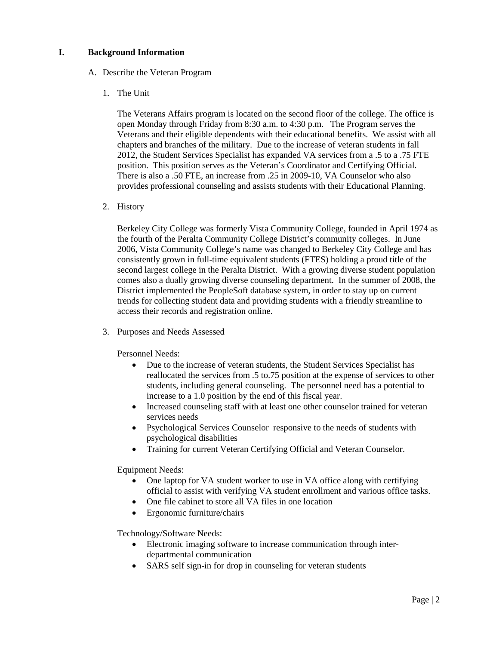### **I. Background Information**

#### A. Describe the Veteran Program

1. The Unit

The Veterans Affairs program is located on the second floor of the college. The office is open Monday through Friday from 8:30 a.m. to 4:30 p.m. The Program serves the Veterans and their eligible dependents with their educational benefits. We assist with all chapters and branches of the military. Due to the increase of veteran students in fall 2012, the Student Services Specialist has expanded VA services from a .5 to a .75 FTE position. This position serves as the Veteran's Coordinator and Certifying Official. There is also a .50 FTE, an increase from .25 in 2009-10, VA Counselor who also provides professional counseling and assists students with their Educational Planning.

2. History

Berkeley City College was formerly Vista Community College, founded in April 1974 as the fourth of the Peralta Community College District's community colleges. In June 2006, Vista Community College's name was changed to Berkeley City College and has consistently grown in full-time equivalent students (FTES) holding a proud title of the second largest college in the Peralta District. With a growing diverse student population comes also a dually growing diverse counseling department. In the summer of 2008, the District implemented the PeopleSoft database system, in order to stay up on current trends for collecting student data and providing students with a friendly streamline to access their records and registration online.

3. Purposes and Needs Assessed

Personnel Needs:

- Due to the increase of veteran students, the Student Services Specialist has reallocated the services from .5 to.75 position at the expense of services to other students, including general counseling. The personnel need has a potential to increase to a 1.0 position by the end of this fiscal year.
- Increased counseling staff with at least one other counselor trained for veteran services needs
- Psychological Services Counselor responsive to the needs of students with psychological disabilities
- Training for current Veteran Certifying Official and Veteran Counselor.

Equipment Needs:

- One laptop for VA student worker to use in VA office along with certifying official to assist with verifying VA student enrollment and various office tasks.
- One file cabinet to store all VA files in one location
- Ergonomic furniture/chairs

Technology/Software Needs:

- Electronic imaging software to increase communication through interdepartmental communication
- SARS self sign-in for drop in counseling for veteran students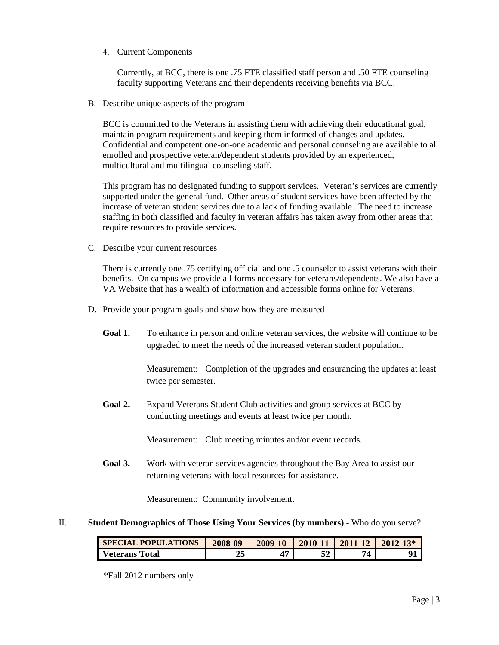4. Current Components

Currently, at BCC, there is one .75 FTE classified staff person and .50 FTE counseling faculty supporting Veterans and their dependents receiving benefits via BCC.

B. Describe unique aspects of the program

BCC is committed to the Veterans in assisting them with achieving their educational goal, maintain program requirements and keeping them informed of changes and updates. Confidential and competent one-on-one academic and personal counseling are available to all enrolled and prospective veteran/dependent students provided by an experienced, multicultural and multilingual counseling staff.

This program has no designated funding to support services. Veteran's services are currently supported under the general fund. Other areas of student services have been affected by the increase of veteran student services due to a lack of funding available. The need to increase staffing in both classified and faculty in veteran affairs has taken away from other areas that require resources to provide services.

C. Describe your current resources

There is currently one .75 certifying official and one .5 counselor to assist veterans with their benefits. On campus we provide all forms necessary for veterans/dependents. We also have a VA Website that has a wealth of information and accessible forms online for Veterans.

- D. Provide your program goals and show how they are measured
	- Goal 1. To enhance in person and online veteran services, the website will continue to be upgraded to meet the needs of the increased veteran student population.

Measurement: Completion of the upgrades and ensurancing the updates at least twice per semester.

**Goal 2.** Expand Veterans Student Club activities and group services at BCC by conducting meetings and events at least twice per month.

Measurement: Club meeting minutes and/or event records.

**Goal 3.** Work with veteran services agencies throughout the Bay Area to assist our returning veterans with local resources for assistance.

Measurement: Community involvement.

#### II. **Student Demographics of Those Using Your Services (by numbers) -** Who do you serve?

| <b>SPECIAL POPULATIONS</b> | 2008-09  | 2009-10 | 2010-11 | 2011-12 | $2012 - 13*$ |
|----------------------------|----------|---------|---------|---------|--------------|
| <b>Veterans Total</b>      | つこ<br>40 |         | ΕΛ      | 74      |              |

\*Fall 2012 numbers only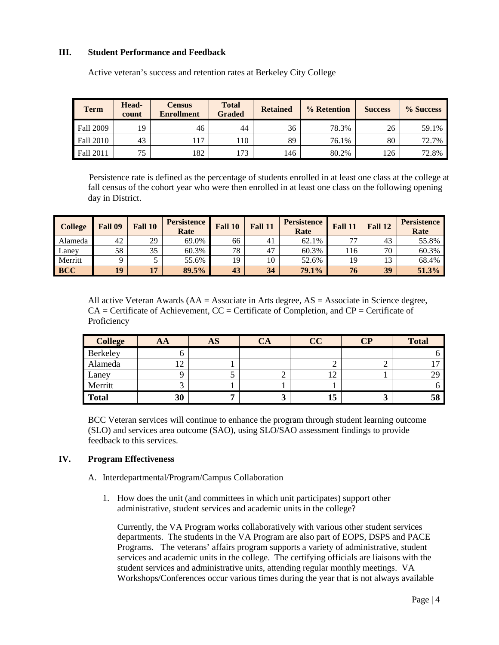#### **III. Student Performance and Feedback**

| <b>Term</b>      | Head-<br>count | <b>Census</b><br><b>Enrollment</b> | <b>Total</b><br><b>Graded</b> | <b>Retained</b> | % Retention | <b>Success</b> | % Success |
|------------------|----------------|------------------------------------|-------------------------------|-----------------|-------------|----------------|-----------|
| <b>Fall 2009</b> | 19             | 46                                 | 44                            | 36              | 78.3%       | 26             | 59.1%     |
| <b>Fall 2010</b> | 43             | 117                                | 10                            | 89              | 76.1%       | 80             | 72.7%     |
| <b>Fall 2011</b> | 75             | 182                                | 173                           | l 46            | 80.2%       | 126            | 72.8%     |

Active veteran's success and retention rates at Berkeley City College

 Persistence rate is defined as the percentage of students enrolled in at least one class at the college at fall census of the cohort year who were then enrolled in at least one class on the following opening day in District.

| <b>College</b> | Fall 09 | Fall 10 | <b>Persistence</b><br>Rate | Fall 10 | Fall 11 | <b>Persistence</b><br>Rate | Fall 11 | Fall 12 | <b>Persistence</b><br>Rate |
|----------------|---------|---------|----------------------------|---------|---------|----------------------------|---------|---------|----------------------------|
| Alameda        | 42      | 29      | 69.0%                      | 66      | 41      | 62.1%                      |         | 43      | 55.8%                      |
| Laney          | 58      | 35      | 60.3%                      | 78      | 47      | 60.3%                      | .16     | 70      | 60.3%                      |
| Merritt        |         |         | 55.6%                      | 19      | 10      | 52.6%                      | 19      | 13      | 68.4%                      |
| <b>BCC</b>     | 19      |         | 89.5%                      | 43      | 34      | 79.1%                      | 76      | 39      | 51.3%                      |

All active Veteran Awards (AA = Associate in Arts degree, AS = Associate in Science degree,  $CA =$  Certificate of Achievement,  $CC =$  Certificate of Completion, and  $CP =$  Certificate of Proficiency

| <b>College</b> | AA                | <b>AS</b> | $\mathbb{C}\mathbf{A}$ | CC           | $\overline{\mathbf{CP}}$ | <b>Total</b> |
|----------------|-------------------|-----------|------------------------|--------------|--------------------------|--------------|
| Berkeley       |                   |           |                        |              |                          |              |
| Alameda        | $\sqrt{2}$<br>⊥ ∠ |           |                        | ∠            |                          |              |
| Laney          |                   |           |                        | $\mathbf{2}$ |                          | 29           |
| Merritt        | J                 |           |                        |              |                          |              |
| <b>Total</b>   | 30                |           |                        | 15           | ັ                        | 58           |

BCC Veteran services will continue to enhance the program through student learning outcome (SLO) and services area outcome (SAO), using SLO/SAO assessment findings to provide feedback to this services.

#### **IV. Program Effectiveness**

- A. Interdepartmental/Program/Campus Collaboration
	- 1. How does the unit (and committees in which unit participates) support other administrative, student services and academic units in the college?

Currently, the VA Program works collaboratively with various other student services departments. The students in the VA Program are also part of EOPS, DSPS and PACE Programs. The veterans' affairs program supports a variety of administrative, student services and academic units in the college. The certifying officials are liaisons with the student services and administrative units, attending regular monthly meetings. VA Workshops/Conferences occur various times during the year that is not always available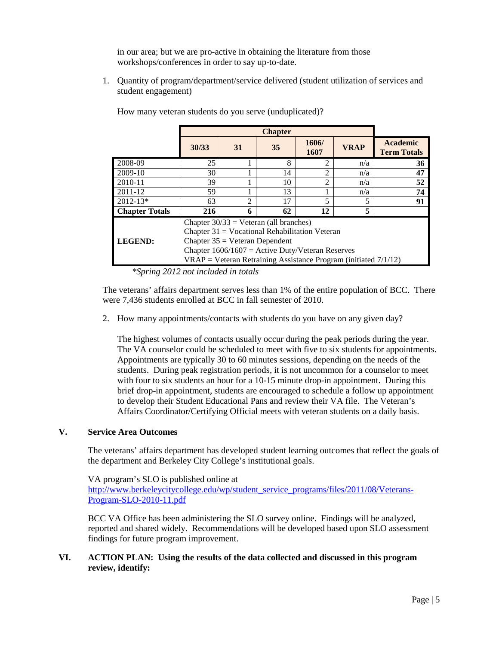in our area; but we are pro-active in obtaining the literature from those workshops/conferences in order to say up-to-date.

1. Quantity of program/department/service delivered (student utilization of services and student engagement)

|                       | 30/33                                                                                                                                                                                                                                                       | 31             | 35 | 1606/<br>1607  | <b>VRAP</b>              | <b>Academic</b><br><b>Term Totals</b> |  |  |  |
|-----------------------|-------------------------------------------------------------------------------------------------------------------------------------------------------------------------------------------------------------------------------------------------------------|----------------|----|----------------|--------------------------|---------------------------------------|--|--|--|
| 2008-09               | 25                                                                                                                                                                                                                                                          |                | 8  | $\mathfrak{D}$ | n/a                      | 36                                    |  |  |  |
| 2009-10               | 30                                                                                                                                                                                                                                                          |                | 14 | $\mathfrak{D}$ | n/a                      | 47                                    |  |  |  |
| 2010-11               | 39                                                                                                                                                                                                                                                          |                | 10 | $\mathfrak{D}$ | n/a                      | 52                                    |  |  |  |
| $2011 - 12$           | 59                                                                                                                                                                                                                                                          |                | 13 |                | n/a                      | 74                                    |  |  |  |
| $2012 - 13*$          | 63                                                                                                                                                                                                                                                          | $\overline{c}$ | 17 | 5              | $\overline{\phantom{0}}$ | 91                                    |  |  |  |
| <b>Chapter Totals</b> | 5<br>62<br>12<br>216<br>6                                                                                                                                                                                                                                   |                |    |                |                          |                                       |  |  |  |
| LEGEND:               | Chapter $30/33$ = Veteran (all branches)<br>Chapter $31 = Vocational Rehabilitation$ Veteran<br>Chapter $35 =$ Veteran Dependent<br>Chapter $1606/1607$ = Active Duty/Veteran Reserves<br>$VRAP = Veteran Retraining Assistance Program (initiated 7/1/12)$ |                |    |                |                          |                                       |  |  |  |

How many veteran students do you serve (unduplicated)?

*\*Spring 2012 not included in totals*

The veterans' affairs department serves less than 1% of the entire population of BCC. There were 7,436 students enrolled at BCC in fall semester of 2010.

2. How many appointments/contacts with students do you have on any given day?

The highest volumes of contacts usually occur during the peak periods during the year. The VA counselor could be scheduled to meet with five to six students for appointments. Appointments are typically 30 to 60 minutes sessions, depending on the needs of the students. During peak registration periods, it is not uncommon for a counselor to meet with four to six students an hour for a 10-15 minute drop-in appointment. During this brief drop-in appointment, students are encouraged to schedule a follow up appointment to develop their Student Educational Pans and review their VA file. The Veteran's Affairs Coordinator/Certifying Official meets with veteran students on a daily basis.

## **V. Service Area Outcomes**

The veterans' affairs department has developed student learning outcomes that reflect the goals of the department and Berkeley City College's institutional goals.

VA program's SLO is published online at [http://www.berkeleycitycollege.edu/wp/student\\_service\\_programs/files/2011/08/Veterans-](http://www.berkeleycitycollege.edu/wp/student_service_programs/files/2011/08/Veterans-Program-SLO-2010-11.pdf)[Program-SLO-2010-11.pdf](http://www.berkeleycitycollege.edu/wp/student_service_programs/files/2011/08/Veterans-Program-SLO-2010-11.pdf)

BCC VA Office has been administering the SLO survey online. Findings will be analyzed, reported and shared widely. Recommendations will be developed based upon SLO assessment findings for future program improvement.

## **VI. ACTION PLAN: Using the results of the data collected and discussed in this program review, identify:**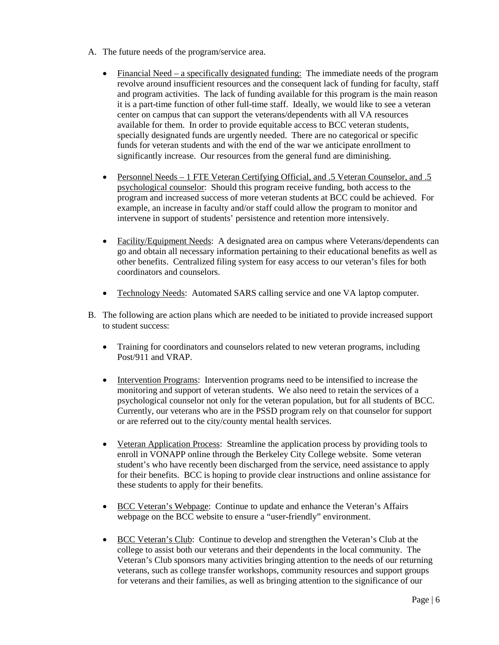- A. The future needs of the program/service area.
	- Financial Need a specifically designated funding: The immediate needs of the program revolve around insufficient resources and the consequent lack of funding for faculty, staff and program activities. The lack of funding available for this program is the main reason it is a part-time function of other full-time staff. Ideally, we would like to see a veteran center on campus that can support the veterans/dependents with all VA resources available for them. In order to provide equitable access to BCC veteran students, specially designated funds are urgently needed. There are no categorical or specific funds for veteran students and with the end of the war we anticipate enrollment to significantly increase. Our resources from the general fund are diminishing.
	- Personnel Needs 1 FTE Veteran Certifying Official, and .5 Veteran Counselor, and .5 psychological counselor: Should this program receive funding, both access to the program and increased success of more veteran students at BCC could be achieved. For example, an increase in faculty and/or staff could allow the program to monitor and intervene in support of students' persistence and retention more intensively.
	- Facility/Equipment Needs: A designated area on campus where Veterans/dependents can go and obtain all necessary information pertaining to their educational benefits as well as other benefits. Centralized filing system for easy access to our veteran's files for both coordinators and counselors.
	- Technology Needs: Automated SARS calling service and one VA laptop computer.
- B. The following are action plans which are needed to be initiated to provide increased support to student success:
	- Training for coordinators and counselors related to new veteran programs, including Post/911 and VRAP.
	- Intervention Programs: Intervention programs need to be intensified to increase the monitoring and support of veteran students. We also need to retain the services of a psychological counselor not only for the veteran population, but for all students of BCC. Currently, our veterans who are in the PSSD program rely on that counselor for support or are referred out to the city/county mental health services.
	- Veteran Application Process: Streamline the application process by providing tools to enroll in VONAPP online through the Berkeley City College website. Some veteran student's who have recently been discharged from the service, need assistance to apply for their benefits. BCC is hoping to provide clear instructions and online assistance for these students to apply for their benefits.
	- BCC Veteran's Webpage: Continue to update and enhance the Veteran's Affairs webpage on the BCC website to ensure a "user-friendly" environment.
	- BCC Veteran's Club: Continue to develop and strengthen the Veteran's Club at the college to assist both our veterans and their dependents in the local community. The Veteran's Club sponsors many activities bringing attention to the needs of our returning veterans, such as college transfer workshops, community resources and support groups for veterans and their families, as well as bringing attention to the significance of our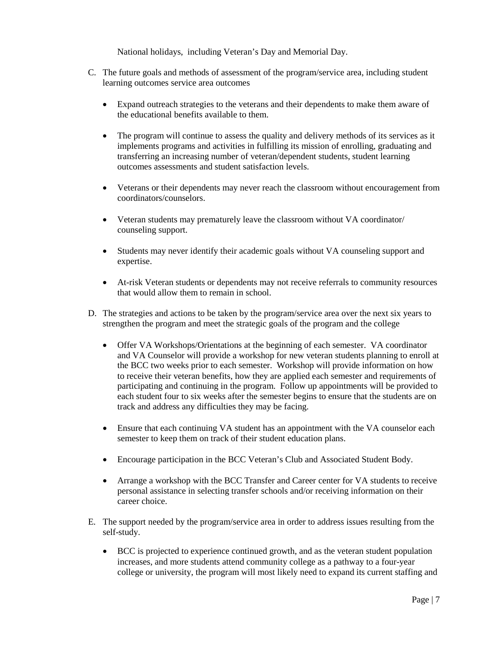National holidays, including Veteran's Day and Memorial Day.

- C. The future goals and methods of assessment of the program/service area, including student learning outcomes service area outcomes
	- Expand outreach strategies to the veterans and their dependents to make them aware of the educational benefits available to them.
	- The program will continue to assess the quality and delivery methods of its services as it implements programs and activities in fulfilling its mission of enrolling, graduating and transferring an increasing number of veteran/dependent students, student learning outcomes assessments and student satisfaction levels.
	- Veterans or their dependents may never reach the classroom without encouragement from coordinators/counselors.
	- Veteran students may prematurely leave the classroom without VA coordinator/ counseling support.
	- Students may never identify their academic goals without VA counseling support and expertise.
	- At-risk Veteran students or dependents may not receive referrals to community resources that would allow them to remain in school.
- D. The strategies and actions to be taken by the program/service area over the next six years to strengthen the program and meet the strategic goals of the program and the college
	- Offer VA Workshops/Orientations at the beginning of each semester. VA coordinator and VA Counselor will provide a workshop for new veteran students planning to enroll at the BCC two weeks prior to each semester. Workshop will provide information on how to receive their veteran benefits, how they are applied each semester and requirements of participating and continuing in the program. Follow up appointments will be provided to each student four to six weeks after the semester begins to ensure that the students are on track and address any difficulties they may be facing.
	- Ensure that each continuing VA student has an appointment with the VA counselor each semester to keep them on track of their student education plans.
	- Encourage participation in the BCC Veteran's Club and Associated Student Body.
	- Arrange a workshop with the BCC Transfer and Career center for VA students to receive personal assistance in selecting transfer schools and/or receiving information on their career choice.
- E. The support needed by the program/service area in order to address issues resulting from the self-study.
	- BCC is projected to experience continued growth, and as the veteran student population increases, and more students attend community college as a pathway to a four-year college or university, the program will most likely need to expand its current staffing and